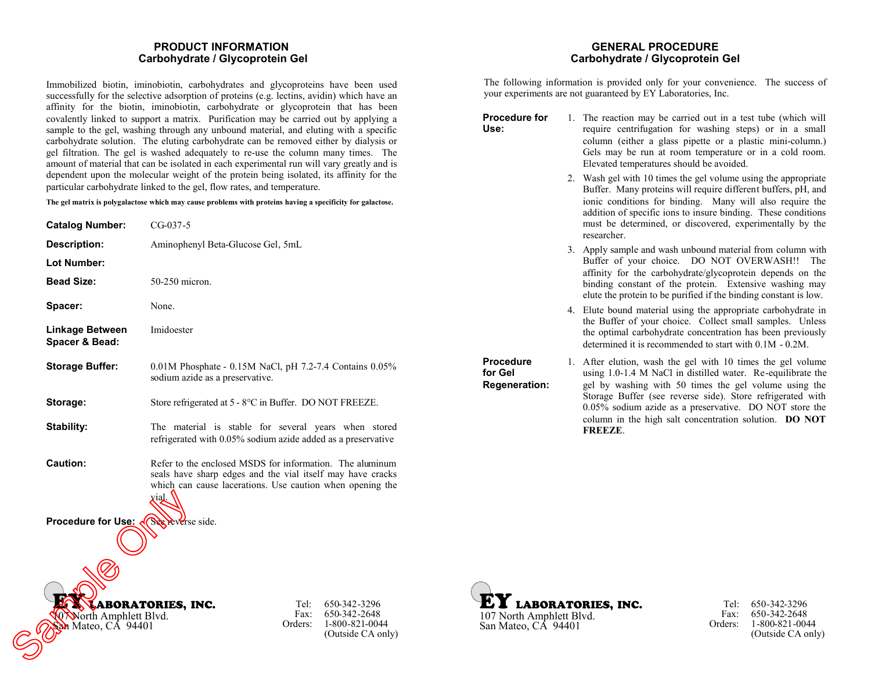### **PRODUCT INFORMATION Carbohydrate / Glycoprotein Gel**

Immobilized biotin, iminobiotin, carbohydrates and glycoproteins have been used successfully for the selective adsorption of proteins (e.g. lectins, avidin) which have an affinity for the biotin, iminobiotin, carbohydrate or glycoprotein that has been covalently linked to support a matrix. Purification may be carried out by applying a sample to the gel, washing through any unbound material, and eluting with a specific carbohydrate solution. The eluting carbohydrate can be removed either by dialysis or gel filtration. The gel is washed adequately to re-use the column many times. The amount of material that can be isolated in each experimental run will vary greatly and is dependent upon the molecular weight of the protein being isolated, its affinity for the particular carbohydrate linked to the gel, flow rates, and temperature.

**The gel matrix is polygalactose which may cause problems with proteins having a specificity for galactose.**

| <b>Catalog Number:</b>            | $CG-037-5$                                                                                                                                                                          |
|-----------------------------------|-------------------------------------------------------------------------------------------------------------------------------------------------------------------------------------|
| Description:                      | Aminophenyl Beta-Glucose Gel, 5mL                                                                                                                                                   |
| <b>Lot Number:</b>                |                                                                                                                                                                                     |
| <b>Bead Size:</b>                 | 50-250 micron.                                                                                                                                                                      |
| Spacer:                           | None.                                                                                                                                                                               |
| Linkage Between<br>Spacer & Bead: | Imidoester                                                                                                                                                                          |
| <b>Storage Buffer:</b>            | $0.01M$ Phosphate - 0.15M NaCl, pH 7.2-7.4 Contains $0.05\%$<br>sodium azide as a preservative.                                                                                     |
| Storage:                          | Store refrigerated at 5 - 8°C in Buffer. DO NOT FREEZE.                                                                                                                             |
| Stability:                        | The material is stable for several years when stored<br>refrigerated with 0.05% sodium azide added as a preservative                                                                |
| <b>Caution:</b>                   | Refer to the enclosed MSDS for information. The aluminum<br>seals have sharp edges and the vial itself may have cracks<br>which can cause lacerations. Use caution when opening the |

## **Procedure for Use: See reverse side.**

vial.



Tel: Fax: Orders: 650-342-3296 650-342-2648 1-800-821-0044 (Outside CA only)

### **GENERAL PROCEDURE Carbohydrate / Glycoprotein Gel**

The following information is provided only for your convenience. The success of your experiments are not guaranteed by EY Laboratories, Inc.

**Procedure for** 1. The reaction may be carried out in a test tube (which will require centrifugation for washing steps) or in a small column (either a glass pipette or a plastic mini-column.) Gels may be run at room temperature or in a cold room. Elevated temperatures should be avoided. 2. Wash gel with 10 times the gel volume using the appropriate Buffer. Many proteins will require different buffers, pH, and

- ionic conditions for binding. Many will also require the addition of specific ions to insure binding. These conditions must be determined, or discovered, experimentally by the researcher.
- 3. Apply sample and wash unbound material from column with Buffer of your choice. DO NOT OVERWASH!! The affinity for the carbohydrate/glycoprotein depends on the binding constant of the protein. Extensive washing may elute the protein to be purified if the binding constant is low.
- 4. Elute bound material using the appropriate carbohydrate in the Buffer of your choice. Collect small samples. Unless the optimal carbohydrate concentration has been previously determined it is recommended to start with 0.1M - 0.2M.

**Regeneration:** 1. After elution, wash the gel with 10 times the gel volume using 1.0-1.4 M NaCl in distilled water. Re-equilibrate the gel by washing with 50 times the gel volume using the Storage Buffer (see reverse side). Store refrigerated with 0.05% sodium azide as a preservative. DO NOT store the column in the high salt concentration solution. **DO NOT FREEZE**.



**Use:**

**Procedure for Gel**

> Tel: 650-342-3296 Fax: Orders: 650-342-2648 1-800-821-0044 (Outside CA only)